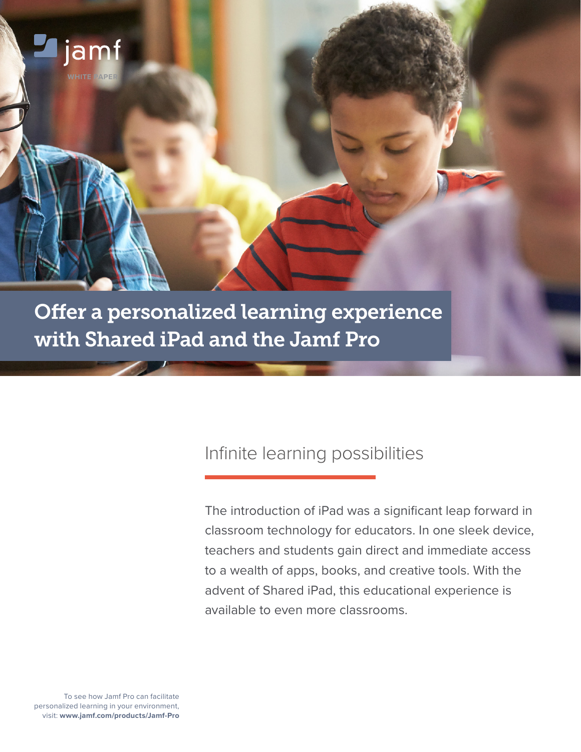

## Infinite learning possibilities

The introduction of iPad was a significant leap forward in classroom technology for educators. In one sleek device, teachers and students gain direct and immediate access to a wealth of apps, books, and creative tools. With the advent of Shared iPad, this educational experience is available to even more classrooms.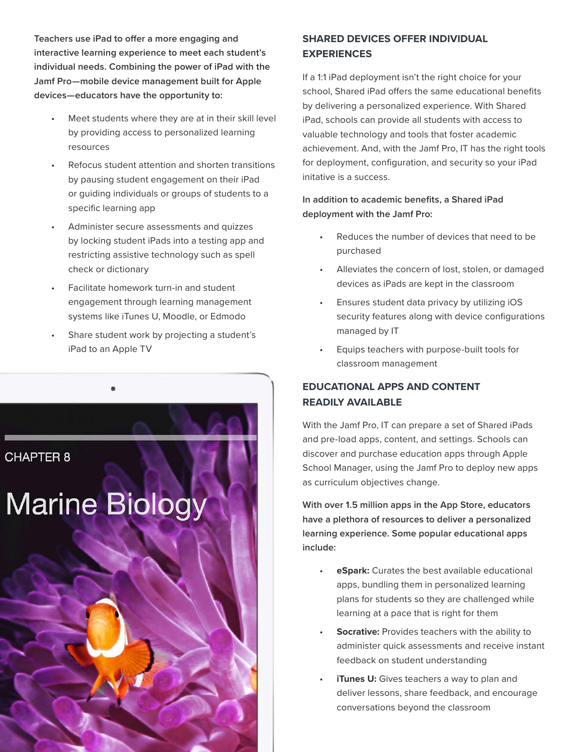**Teachers use iPad to offer a more engaging and interactive learning experience to meet each student's individual needs. Combining the power of iPad with the Jamf Pro—mobile device management built for Apple devices—educators have the opportunity to:**

- Meet students where they are at in their skill level by providing access to personalized learning resources
- Refocus student attention and shorten transitions by pausing student engagement on their iPad or guiding individuals or groups of students to a specific learning app
- Administer secure assessments and quizzes by locking student iPads into a testing app and restricting assistive technology such as spell check or dictionary
- Facilitate homework turn-in and student engagement through learning management systems like iTunes U, Moodle, or Edmodo
- Share student work by projecting a student's iPad to an Apple TV



### **SHARED DEVICES OFFER INDIVIDUAL EXPERIENCES**

If a 1:1 iPad deployment isn't the right choice for your school, Shared iPad offers the same educational benefits by delivering a personalized experience. With Shared iPad, schools can provide all students with access to valuable technology and tools that foster academic achievement. And, with the Jamf Pro, IT has the right tools for deployment, configuration, and security so your iPad initative is a success.

**In addition to academic benefits, a Shared iPad deployment with the Jamf Pro:**

- Reduces the number of devices that need to be purchased
- Alleviates the concern of lost, stolen, or damaged devices as iPads are kept in the classroom
- Ensures student data privacy by utilizing iOS security features along with device configurations managed by IT
- Equips teachers with purpose-built tools for classroom management

### **EDUCATIONAL APPS AND CONTENT READILY AVAILABLE**

With the Jamf Pro, IT can prepare a set of Shared iPads and pre-load apps, content, and settings. Schools can discover and purchase education apps through Apple School Manager, using the Jamf Pro to deploy new apps as curriculum objectives change.

**With over 1.5 million apps in the App Store, educators have a plethora of resources to deliver a personalized learning experience. Some popular educational apps include:**

- **eSpark:** Curates the best available educational apps, bundling them in personalized learning plans for students so they are challenged while learning at a pace that is right for them
- **Socrative:** Provides teachers with the ability to administer quick assessments and receive instant feedback on student understanding
- **iTunes U:** Gives teachers a way to plan and deliver lessons, share feedback, and encourage conversations beyond the classroom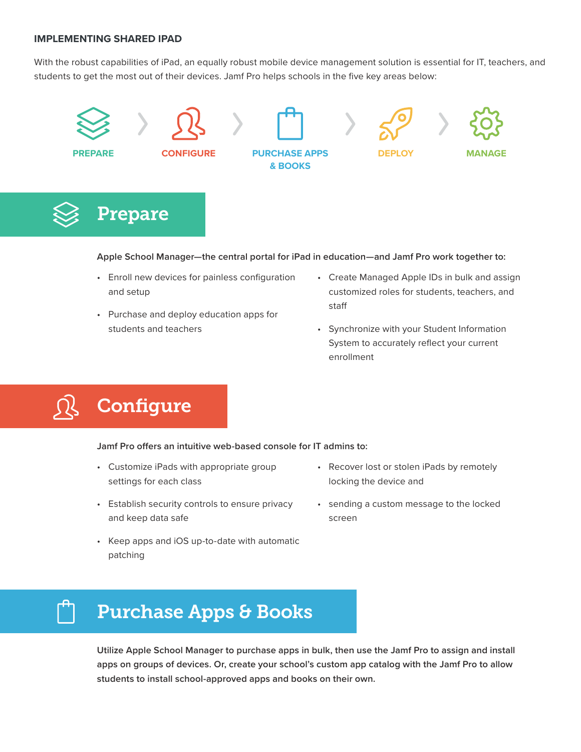#### **IMPLEMENTING SHARED IPAD**

With the robust capabilities of iPad, an equally robust mobile device management solution is essential for IT, teachers, and students to get the most out of their devices. Jamf Pro helps schools in the five key areas below:



# Prepare

#### **Apple School Manager—the central portal for iPad in education—and Jamf Pro work together to:**

- Enroll new devices for painless configuration and setup
- Purchase and deploy education apps for students and teachers
- Create Managed Apple IDs in bulk and assign customized roles for students, teachers, and staff
- Synchronize with your Student Information System to accurately reflect your current enrollment

# **Configure**

**Jamf Pro offers an intuitive web-based console for IT admins to:**

- Customize iPads with appropriate group settings for each class
- Establish security controls to ensure privacy and keep data safe
- Keep apps and iOS up-to-date with automatic patching
- Recover lost or stolen iPads by remotely locking the device and
- sending a custom message to the locked screen

# Purchase Apps & Books

**Utilize Apple School Manager to purchase apps in bulk, then use the Jamf Pro to assign and install apps on groups of devices. Or, create your school's custom app catalog with the Jamf Pro to allow students to install school-approved apps and books on their own.**